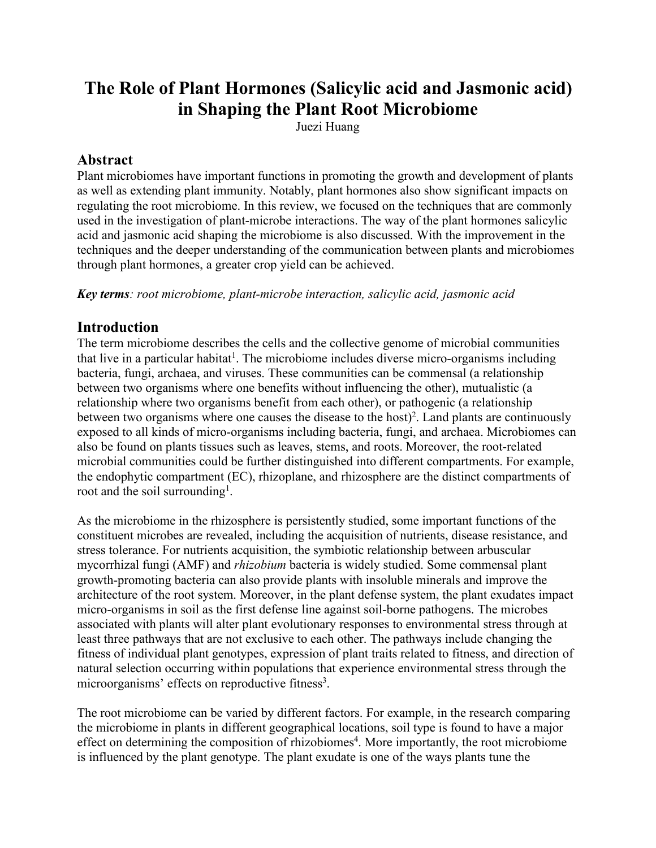# **The Role of Plant Hormones (Salicylic acid and Jasmonic acid) in Shaping the Plant Root Microbiome**

Juezi Huang

### **Abstract**

Plant microbiomes have important functions in promoting the growth and development of plants as well as extending plant immunity. Notably, plant hormones also show significant impacts on regulating the root microbiome. In this review, we focused on the techniques that are commonly used in the investigation of plant-microbe interactions. The way of the plant hormones salicylic acid and jasmonic acid shaping the microbiome is also discussed. With the improvement in the techniques and the deeper understanding of the communication between plants and microbiomes through plant hormones, a greater crop yield can be achieved.

*Key terms: root microbiome, plant-microbe interaction, salicylic acid, jasmonic acid*

## **Introduction**

The term microbiome describes the cells and the collective genome of microbial communities that live in a particular habitat<sup>1</sup>. The microbiome includes diverse micro-organisms including bacteria, fungi, archaea, and viruses. These communities can be commensal (a relationship between two organisms where one benefits without influencing the other), mutualistic (a relationship where two organisms benefit from each other), or pathogenic (a relationship between two organisms where one causes the disease to the host) 2 . Land plants are continuously exposed to all kinds of micro-organisms including bacteria, fungi, and archaea. Microbiomes can also be found on plants tissues such as leaves, stems, and roots. Moreover, the root-related microbial communities could be further distinguished into different compartments. For example, the endophytic compartment  $(EC)$ , rhizoplane, and rhizosphere are the distinct compartments of root and the soil surrounding<sup>1</sup>. .

As the microbiome in the rhizosphere is persistently studied, some important functions of the constituent microbes are revealed, including the acquisition of nutrients, disease resistance, and stress tolerance. For nutrients acquisition, the symbiotic relationship between arbuscular mycorrhizal fungi (AMF) and *rhizobium* bacteria is widely studied. Some commensal plant growth-promoting bacteria can also provide plants with insoluble minerals and improve the architecture of the root system. Moreover, in the plant defense system, the plant exudates impact micro-organisms in soil as the first defense line against soil-borne pathogens. The microbes associated with plants will alter plant evolutionary responses to environmental stress through at least three pathways that are not exclusive to each other. The pathways include changing the fitness of individual plant genotypes, expression of plant traits related to fitness, and direction of natural selection occurring within populations that experience environmental stress through the microorganisms' effects on reproductive fitness 3 .

The root microbiome can be varied by different factors. For example, in the research comparing the microbiome in plants in different geographical locations, soil type is found to have a major effect on determining the composition of rhizobiomes 4 . More importantly, the root microbiome is influenced by the plant genotype. The plant exudate is one of the ways plants tune the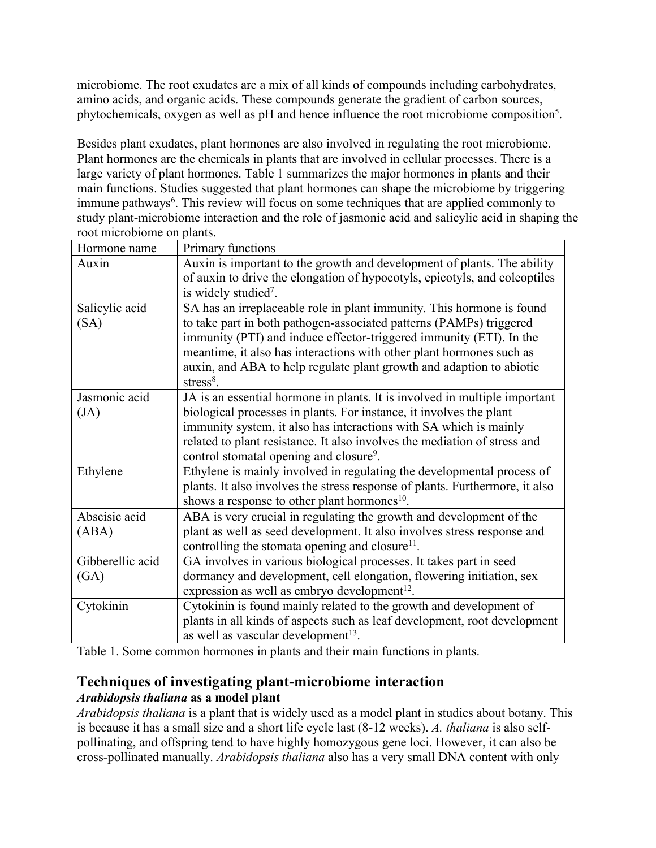microbiome. The root exudates are a mix of all kinds of compounds including carbohydrates, amino acids, and organic acids. These compounds generate the gradient of carbon sources, phytochemicals, oxygen as well as pH and hence influence the root microbiome composition 5 .

Besides plant exudates, plant hormones are also involved in regulating the root microbiome. Plant hormones are the chemicals in plants that are involved in cellular processes. There is a large variety of plant hormones. Table 1 summarizes the major hormones in plants and their main functions. Studies suggested that plant hormones can shape the microbiome by triggering immune pathways 6 . This review will focus on some techniques that are applied commonly to study plant-microbiome interaction and the role of jasmonic acid and salicylic acid in shaping the root microbiome on plants.

| Hormone name     | Primary functions                                                            |
|------------------|------------------------------------------------------------------------------|
| Auxin            | Auxin is important to the growth and development of plants. The ability      |
|                  | of auxin to drive the elongation of hypocotyls, epicotyls, and coleoptiles   |
|                  | is widely studied <sup>7</sup> .                                             |
| Salicylic acid   | SA has an irreplaceable role in plant immunity. This hormone is found        |
| (SA)             | to take part in both pathogen-associated patterns (PAMPs) triggered          |
|                  | immunity (PTI) and induce effector-triggered immunity (ETI). In the          |
|                  | meantime, it also has interactions with other plant hormones such as         |
|                  | auxin, and ABA to help regulate plant growth and adaption to abiotic         |
|                  | stress $8$ .                                                                 |
| Jasmonic acid    | JA is an essential hormone in plants. It is involved in multiple important   |
| (JA)             | biological processes in plants. For instance, it involves the plant          |
|                  | immunity system, it also has interactions with SA which is mainly            |
|                  | related to plant resistance. It also involves the mediation of stress and    |
|                  | control stomatal opening and closure <sup>9</sup> .                          |
| Ethylene         | Ethylene is mainly involved in regulating the developmental process of       |
|                  | plants. It also involves the stress response of plants. Furthermore, it also |
|                  | shows a response to other plant hormones <sup>10</sup> .                     |
| Abscisic acid    | ABA is very crucial in regulating the growth and development of the          |
| (ABA)            | plant as well as seed development. It also involves stress response and      |
|                  | controlling the stomata opening and closure <sup>11</sup> .                  |
| Gibberellic acid | GA involves in various biological processes. It takes part in seed           |
| (GA)             | dormancy and development, cell elongation, flowering initiation, sex         |
|                  | expression as well as embryo development <sup>12</sup> .                     |
| Cytokinin        | Cytokinin is found mainly related to the growth and development of           |
|                  | plants in all kinds of aspects such as leaf development, root development    |
|                  | as well as vascular development <sup>13</sup> .                              |

Table 1. Some common hormones in plants and their main functions in plants.

### **Techniques of investigating plant-microbiome interaction** *Arabidopsis thaliana* **as a model plant**

*Arabidopsis thaliana* is a plant that is widely used as a model plant in studies about botany. This is because it has a small size and a short life cycle last (8-12 weeks). *A. thaliana* is also self pollinating, and offspring tend to have highly homozygous gene loci. However, it can also be cross-pollinated manually. *Arabidopsis thaliana* also has a very small DNA content with only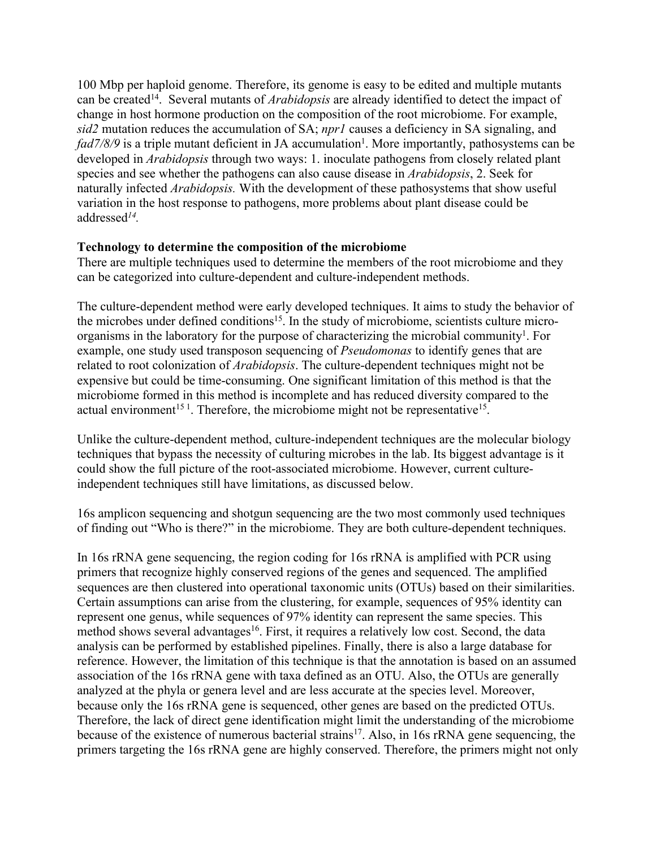100 Mbp per haploid genome. Therefore, its genome is easy to be edited and multiple mutants can be created 14 . Several mutants of*Arabidopsis* are already identified to detect the impact of change in host hormone production on the composition of the root microbiome. For example, *sid2* mutation reduces the accumulation of SA; *npr1* causes a deficiency in SA signaling, and *fad7/8/9* is a triple mutant deficient in JA accumulation 1 . More importantly, pathosystems can be developed in *Arabidopsis* through two ways: 1. inoculate pathogens from closely related plant species and see whether the pathogens can also cause disease in *Arabidopsis*, 2. Seek for naturally infected *Arabidopsis.* With the development of these pathosystems that show useful variation in the host response to pathogens, more problems about plant disease could be addressed *14 .*

#### **Technology to determine the composition of the microbiome**

There are multiple techniques used to determine the members of the root microbiome and they can be categorized into culture-dependent and culture-independent methods.

The culture-dependent method were early developed techniques. It aims to study the behavior of the microbes under defined conditions<sup>15</sup>. In the study of microbiome, scientists culture microorganisms in the laboratory for the purpose of characterizing the microbial community 1 . For example, one study used transposon sequencing of *Pseudomonas* to identify genes that are related to root colonization of *Arabidopsis*. The culture-dependent techniques might not be expensive but could be time-consuming. One significant limitation of this method is that the microbiome formed in this method is incomplete and has reduced diversity compared to the actual environment<sup>151</sup>. Therefore, the microbiome might not be representative<sup>15</sup>. .

Unlike the culture-dependent method, culture-independent techniques are the molecular biology techniques that bypass the necessity of culturing microbes in the lab. Its biggest advantage is it could show the full picture of the root-associated microbiome. However, current cultureindependent techniques still have limitations, as discussed below.

16s amplicon sequencing and shotgun sequencing are the two most commonly used techniques of finding out "Who is there?" in the microbiome. They are both culture-dependent techniques.

In 16s rRNA gene sequencing, the region coding for 16s rRNA is amplified with PCR using primers that recognize highly conserved regions of the genes and sequenced. The amplified sequences are then clustered into operational taxonomic units (OTUs) based on their similarities. Certain assumptions can arise from the clustering, for example, sequences of 95% identity can represent one genus, while sequences of 97% identity can represent the same species. This method shows several advantages 16 . First, it requires a relatively low cost. Second, the data analysis can be performed by established pipelines. Finally, there is also a large database for reference. However, the limitation of this technique is that the annotation is based on an assumed association of the 16s rRNA gene with taxa defined as an OTU. Also, the OTUs are generally analyzed at the phyla or genera level and are less accurate at the species level. Moreover, because only the 16s rRNA gene is sequenced, other genes are based on the predicted OTUs. Therefore, the lack of direct gene identification might limit the understanding of the microbiome because of the existence of numerous bacterial strains<sup>17</sup>. Also, in 16s rRNA gene sequencing, the primers targeting the 16s rRNA gene are highly conserved. Therefore, the primers might not only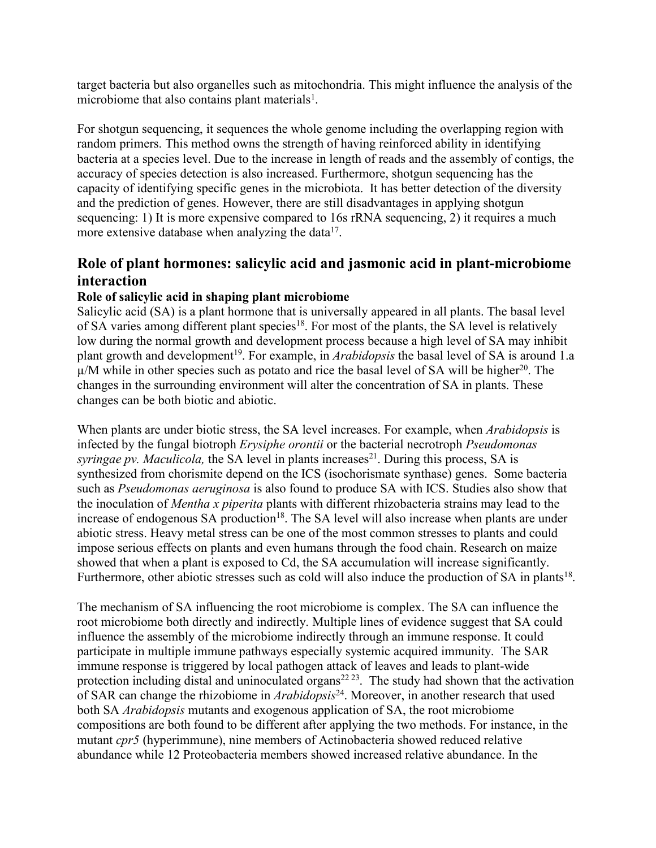target bacteria but also organelles such as mitochondria. This might influence the analysis ofthe microbiome that also contains plant materials 1 .

For shotgun sequencing, it sequences the whole genome including the overlapping region with random primers. This method owns the strength of having reinforced ability in identifying bacteria at a species level. Due to the increase in length of reads and the assembly of contigs, the accuracy of species detection is also increased. Furthermore, shotgun sequencing has the capacity of identifying specific genes in the microbiota. It has better detection of the diversity and the prediction of genes. However, there are still disadvantages in applying shotgun sequencing: 1) It is more expensive compared to 16s rRNA sequencing, 2) it requires a much more extensive database when analyzing the data<sup>17</sup>. .

# **Role of plant hormones: salicylic acid and jasmonic acid in plant-microbiome interaction**

### **Role of salicylic acid in shaping plant microbiome**

Salicylic acid (SA) is a plant hormone that is universally appeared in all plants. The basal level of SA varies among different plant species<sup>18</sup>. For most of the plants, the SA level is relatively low during the normal growth and development process because a high level of SA may inhibit plant growth and development<sup>19</sup>. For example, in *Arabidopsis* the basal level of SA is around 1.a  $\mu$ /M while in other species such as potato and rice the basal level of SA will be higher<sup>20</sup>. The changes in the surrounding environment will alter the concentration of SA in plants. These changes can be both biotic and abiotic.

When plants are under biotic stress, the SA level increases. For example, when *Arabidopsis* is infected by the fungalbiotroph *Erysiphe orontii* or the bacterial necrotroph *Pseudomonas syringae pv. Maculicola,* the SA level in plants increases 21 . During this process, SA is synthesized from chorismite depend on the ICS (isochorismate synthase) genes. Some bacteria such as *Pseudomonas aeruginosa* is also found to produce SA with ICS. Studies also show that the inoculation of *Mentha x piperita* plants with different rhizobacteria strains may lead to the increase of endogenous SA production<sup>18</sup>. The SA level will also increase when plants are under abiotic stress. Heavy metal stress can be one of the most common stresses to plants and could impose serious effects on plants and even humans through the food chain. Research on maize showed that when a plant is exposed to Cd, the SA accumulation will increase significantly. Furthermore, other abiotic stresses such as cold will also induce the production of SA in plants<sup>18</sup>. .

The mechanism of SA influencing the root microbiome is complex. The SA can influence the root microbiome both directly and indirectly. Multiple lines of evidence suggest that SA could influence the assembly of the microbiome indirectly through an immune response. It could participate in multiple immune pathways especially systemic acquired immunity. The SAR immune response is triggered by local pathogen attack of leaves and leads to plant-wide protection including distal and uninoculated organs<sup>22 23</sup>. The study had shown that the activation of SAR can change the rhizobiome in *Arabidopsis* 24 . Moreover, in another research that used both SA *Arabidopsis* mutants and exogenous application of SA, the root microbiome compositions are both found to be different after applying the two methods. For instance, in the mutant *cpr5* (hyperimmune), nine members of Actinobacteria showed reduced relative abundance while 12 Proteobacteria members showed increased relative abundance. In the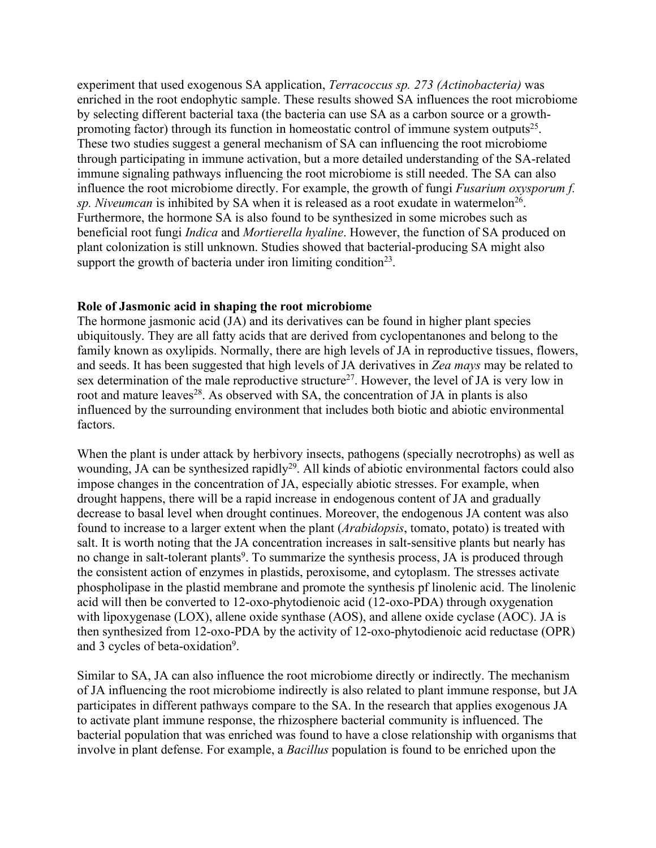experiment that used exogenous SA application, *Terracoccus sp. 273 (Actinobacteria)* was enriched in the root endophytic sample. These results showed SA influences the root microbiome by selecting different bacterial taxa (the bacteria can use SA as a carbon source or a growth promoting factor) through its function in homeostatic control of immune system outputs<sup>25</sup>. . These two studies suggest a general mechanism of SA can influencing the root microbiome through participating in immune activation, but a more detailed understanding of the SA-related immune signaling pathways influencing the root microbiome is still needed. The SA can also influence the root microbiome directly. For example, the growth of fungi *Fusarium oxysporum f. sp. Niveumcan* is inhibited by SA when it is released as a root exudate in watermelon 26 . Furthermore, the hormone SA is also found to be synthesized in some microbes such as beneficial root fungi *Indica* and *Mortierella hyaline*. However, the function of SA produced on plant colonization is still unknown. Studies showed that bacterial-producing SA might also support the growth of bacteria under iron limiting condition<sup>23</sup>. .

#### **Role of Jasmonic acid in shaping the root microbiome**

The hormone jasmonic acid (JA) and its derivatives can be found in higher plant species ubiquitously. They are all fatty acids that are derived from cyclopentanones and belong to the family known as oxylipids. Normally, there are high levels of JA in reproductive tissues, flowers, and seeds. It has been suggested that high levels of JA derivatives in Zea mays may be related to sex determination of the male reproductive structure<sup>27</sup>. However, the level of JA is very low in root and mature leaves<sup>28</sup>. As observed with SA, the concentration of JA in plants is also influenced by the surrounding environment that includes both biotic and abiotic environmental factors.

When the plant is under attack by herbivory insects, pathogens (specially necrotrophs) as well as wounding, JA can be synthesized rapidly<sup>29</sup>. All kinds of abiotic environmental factors could also impose changes in the concentration of JA, especially abiotic stresses. For example, when drought happens, there will be a rapid increase in endogenous content of JA and gradually decrease to basal level when drought continues. Moreover, the endogenous JA content was also found to increase to a larger extent when the plant (*Arabidopsis*, tomato, potato) is treated with salt. It is worth noting that the JA concentration increases in salt-sensitive plants but nearly has no change in salt-tolerant plants 9 . To summarize the synthesis process, JA is produced through the consistent action of enzymes in plastids, peroxisome, and cytoplasm. The stresses activate phospholipase in the plastid membrane and promote the synthesis pf linolenic acid. The linolenic acid will then be converted to 12-oxo-phytodienoic acid (12-oxo-PDA) through oxygenation with lipoxygenase (LOX), allene oxide synthase (AOS), and allene oxide cyclase (AOC). JA is then synthesized from 12-oxo-PDA by the activity of 12-oxo-phytodienoic acid reductase (OPR) and 3 cycles of beta-oxidation<sup>9</sup>. .

Similar to SA, JA can also influence the root microbiome directly or indirectly. The mechanism of JA influencing the root microbiome indirectly is also related to plant immune response, but JA participates in different pathways compare to the SA. In the research that applies exogenous JA to activate plant immune response, the rhizosphere bacterial community is influenced. The bacterial population that was enriched was found to have a close relationship with organisms that involve in plant defense. For example, a *Bacillus* population is found to be enriched upon the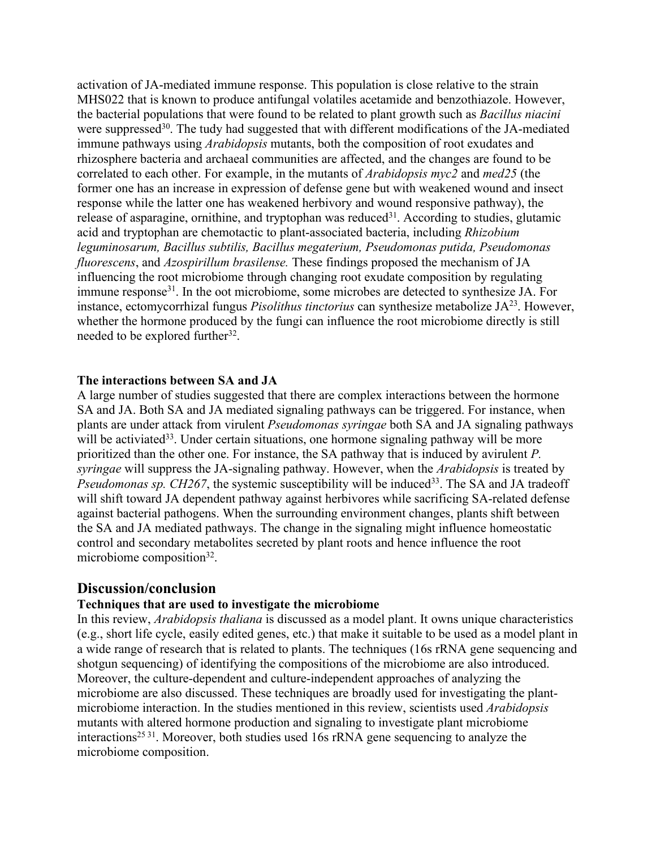activation of JA-mediated immune response. This population is close relative to the strain MHS022 that is known to produce antifungal volatiles acetamide and benzothiazole. However, the bacterial populations that were found to be related to plant growth such as *Bacillus niacini* were suppressed<sup>30</sup>. The tudy had suggested that with different modifications of the JA-mediated immune pathways using *Arabidopsis* mutants, both the composition of root exudates and rhizosphere bacteria and archaeal communities are affected, and the changes are found to be correlated to each other. For example, in the mutants of*Arabidopsis myc2* and *med25* (the former one has an increase in expression of defense gene but with weakened wound and insect response while the latter one has weakened herbivory and wound responsive pathway), the release of asparagine, ornithine, and tryptophan was reduced 31 . According to studies, glutamic acid and tryptophan are chemotactic to plant-associated bacteria, including *Rhizobium leguminosarum, Bacillus subtilis, Bacillus megaterium, Pseudomonas putida, Pseudomonas fluorescens*, and *Azospirillum brasilense.* These findings proposed the mechanism of JA influencing the root microbiome through changing root exudate composition by regulating immune response<sup>31</sup>. In the oot microbiome, some microbes are detected to synthesize JA. For instance, ectomycorrhizal fungus *Pisolithus tinctorius* can synthesize metabolize JA<sup>23</sup>. However, whether the hormone produced by the fungi can influence the root microbiome directly is still needed to be explored further<sup>32</sup>. .

#### **The interactions between SA and JA**

A large number of studies suggested that there are complex interactions between the hormone SA and JA. Both SA and JA mediated signaling pathways can be triggered. For instance, when plants are under attack from virulent *Pseudomonas syringae* both SA and JA signaling pathways will be activiated<sup>33</sup>. Under certain situations, one hormone signaling pathway will be more prioritized than the other one. For instance, the SA pathway that is induced by avirulent *P*. *syringae* will suppress the JA-signaling pathway. However, when the *Arabidopsis* is treated by *Pseudomonas sp. CH267*, the systemic susceptibility will be induced 33 . The SA and JA tradeoff will shift toward JA dependent pathway against herbivores while sacrificing SA-related defense against bacterial pathogens. When the surrounding environment changes, plants shift between the SA and JA mediated pathways. The change in the signaling might influence homeostatic control and secondary metabolites secreted by plant roots and hence influence the root microbiome composition<sup>32</sup>. .

### **Discussion/conclusion**

#### **Techniques that are used toinvestigate the microbiome**

In this review, *Arabidopsis thaliana* is discussed as a model plant. It owns unique characteristics (e.g., short life cycle, easily edited genes, etc.) that make it suitable to be used as a model plant in a wide range of research that is related to plants. The techniques (16s rRNA gene sequencing and shotgun sequencing) of identifying the compositions of the microbiome are also introduced.<br>Moreover, the culture-dependent and culture-independent approaches of analyzing the microbiome are also discussed. These techniques are broadly used for investigating the plant microbiome interaction. In the studies mentioned in this review, scientists used *Arabidopsis* mutants with altered hormone production and signaling to investigate plant microbiome interactions 25 31 . Moreover, both studies used 16s rRNA gene sequencing to analyze the microbiome composition.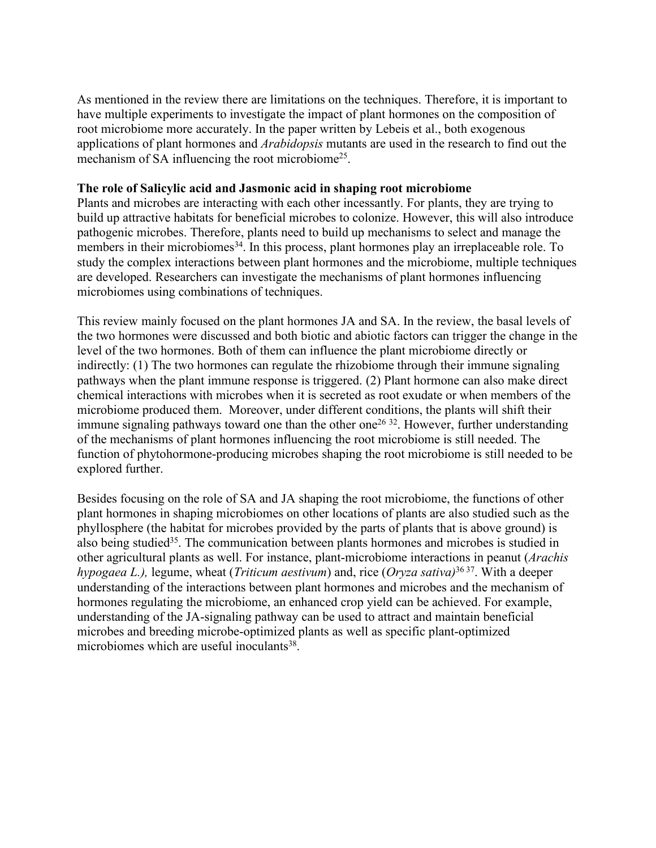As mentioned in the review there are limitations on the techniques. Therefore, it is important to have multiple experiments to investigate the impact of plant hormones on the composition of root microbiome more accurately. In the paper written by Lebeis et al., both exogenous applications of plant hormones and *Arabidopsis* mutants are used in the research to find out the mechanism of SA influencing the root microbiome<sup>25</sup>. .

#### **The role of Salicylic acid and Jasmonic acid in shaping root microbiome**

Plants and microbes are interacting with each other incessantly. For plants, they are trying to build up attractive habitats for beneficial microbes to colonize. However, this will also introduce pathogenic microbes. Therefore, plants need to build up mechanisms to select and manage the members in their microbiomes<sup>34</sup>. In this process, plant hormones play an irreplaceable role. To study the complex interactions between plant hormones and the microbiome, multiple techniques are developed. Researchers can investigate the mechanisms of plant hormones influencing microbiomes using combinations of techniques.

This review mainly focused on the plant hormones JA and SA. In the review, the basal levels of the two hormones were discussed and both biotic and abiotic factors can trigger the change in the level of the two hormones. Both of them can influence the plant microbiome directly or indirectly: (1) The two hormones can regulate the rhizobiome through their immune signaling pathways when the plant immune response is triggered. (2) Plant hormone can also make direct chemical interactions with microbes when it is secreted as root exudate or when members of the microbiome produced them. Moreover, under different conditions, the plants will shift their immune signaling pathways toward one than the other one<sup>26 32</sup>. However, further understanding of the mechanisms of plant hormones influencing the root microbiome is still needed. The function of phytohormone-producing microbes shaping the root microbiome is still needed to be explored further.

Besides focusing on the role of SA and JA shaping the root microbiome, the functions of other plant hormones in shaping microbiomes on other locations of plants are also studied such as the phyllosphere (the habitat for microbes provided by the parts of plants that is above ground) is also being studied 35 . The communication between plants hormones and microbes is studied in other agricultural plants as well. For instance, plant-microbiome interactions in peanut (*Arachis hypogaea L.),* legume, wheat (*Triticum aestivum*) and, rice (*Oryza sativa)* 36 37 . With a deeper understanding of the interactions between plant hormones and microbes and the mechanism of hormones regulating the microbiome, an enhanced crop yield can be achieved. For example, understanding of the JA-signaling pathway can be used to attract and maintain beneficial microbes and breeding microbe-optimized plants as well as specific plant-optimized microbiomes which are useful inoculants 38 .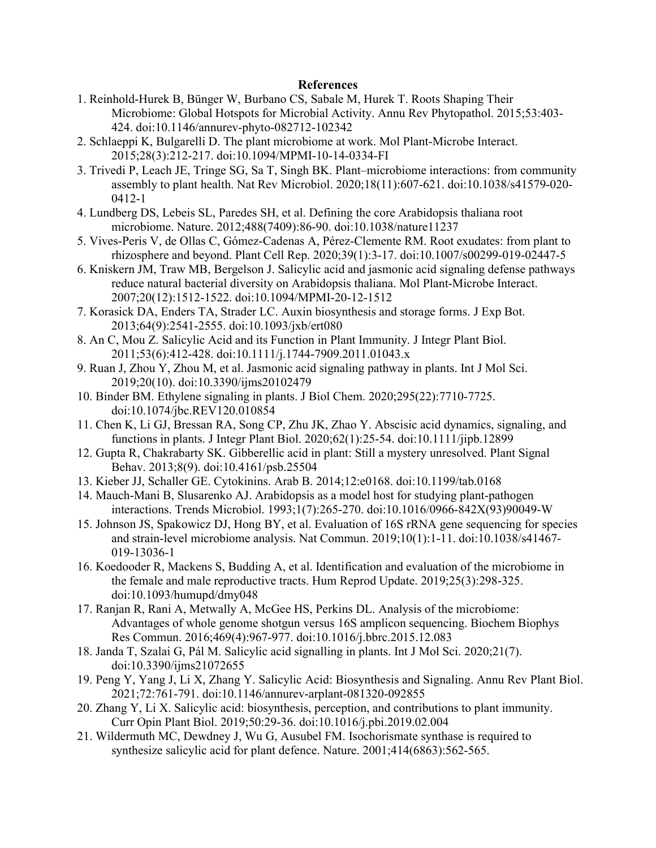#### **References**

- 1. Reinhold-Hurek B, Bünger W, Burbano CS, Sabale M, Hurek T. Roots Shaping Their Microbiome: Global Hotspots for Microbial Activity. Annu Rev Phytopathol. 2015;53:403- 424. doi:10.1146/annurev-phyto-082712-102342
- 2. Schlaeppi K, Bulgarelli D. The plant microbiome at work. Mol Plant-Microbe Interact. 2015;28(3):212-217. doi:10.1094/MPMI-10-14-0334-FI
- 3. Trivedi P, Leach JE, Tringe SG, Sa T, Singh BK. Plant–microbiome interactions: from community assembly to plant health. Nat Rev Microbiol. 2020;18(11):607-621. doi:10.1038/s41579-020- 0412-1
- 4. Lundberg DS, Lebeis SL, Paredes SH, et al. Defining the core Arabidopsis thaliana root microbiome. Nature. 2012;488(7409):86-90. doi:10.1038/nature11237
- 5. Vives-Peris V, de Ollas C, Gómez-Cadenas A, Pérez-Clemente RM. Root exudates: from plant to rhizosphere and beyond. Plant Cell Rep. 2020;39(1):3-17. doi:10.1007/s00299-019-02447-5
- 6. Kniskern JM, Traw MB, Bergelson J. Salicylic acid and jasmonic acid signaling defense pathways reduce natural bacterial diversity on Arabidopsis thaliana. Mol Plant-Microbe Interact. 2007;20(12):1512-1522. doi:10.1094/MPMI-20-12-1512
- 7. Korasick DA, Enders TA, Strader LC. Auxin biosynthesis and storage forms. J Exp Bot. 2013;64(9):2541-2555. doi:10.1093/jxb/ert080
- 8. An C, Mou Z. Salicylic Acid and its Function in Plant Immunity. J Integr Plant Biol. 2011;53(6):412-428. doi:10.1111/j.1744-7909.2011.01043.x
- 9. Ruan J, Zhou Y, Zhou M, et al. Jasmonic acid signaling pathway in plants. IntJ Mol Sci. 2019;20(10). doi:10.3390/ijms20102479
- 10. Binder BM. Ethylene signaling in plants. J Biol Chem. 2020;295(22):7710-7725. doi:10.1074/jbc.REV120.010854
- 11. Chen K, Li GJ, Bressan RA, Song CP, Zhu JK, Zhao Y. Abscisic acid dynamics, signaling, and functions in plants. J Integr Plant Biol. 2020;62(1):25-54. doi:10.1111/jipb.12899
- 12. Gupta R, Chakrabarty SK. Gibberellic acid in plant: Still a mystery unresolved. Plant Signal Behav. 2013;8(9). doi:10.4161/psb.25504
- 13. Kieber JJ, Schaller GE. Cytokinins. Arab B. 2014;12:e0168. doi:10.1199/tab.0168
- 14. Mauch-Mani B, Slusarenko AJ. Arabidopsis as a model host for studying plant-pathogen interactions. Trends Microbiol. 1993;1(7):265-270. doi:10.1016/0966-842X(93)90049-W
- 15. Johnson JS, Spakowicz DJ, Hong BY, et al. Evaluation of 16S rRNA gene sequencing for species and strain-level microbiome analysis. Nat Commun. 2019;10(1):1-11. doi:10.1038/s41467- 019-13036-1
- 16. Koedooder R, Mackens S, Budding A, et al. Identification and evaluation of the microbiome in the female and male reproductive tracts. Hum Reprod Update. 2019;25(3):298-325. doi:10.1093/humupd/dmy048
- 17. Ranjan R, Rani A, Metwally A, McGee HS, Perkins DL. Analysis ofthe microbiome: Advantages of whole genome shotgun versus 16S amplicon sequencing. Biochem Biophys Res Commun. 2016;469(4):967-977. doi:10.1016/j.bbrc.2015.12.083
- 18. Janda T, Szalai G, Pál M. Salicylic acid signalling in plants. IntJ Mol Sci. 2020;21(7). doi:10.3390/ijms21072655
- 19. Peng Y, Yang J, Li X, Zhang Y. Salicylic Acid: Biosynthesis and Signaling. Annu Rev Plant Biol. 2021;72:761-791. doi:10.1146/annurev-arplant-081320-092855
- 20. Zhang Y, Li X. Salicylic acid: biosynthesis, perception, and contributions to plant immunity. Curr Opin Plant Biol. 2019;50:29-36. doi:10.1016/j.pbi.2019.02.004
- 21. Wildermuth MC, Dewdney J, Wu G, Ausubel FM. Isochorismate synthase is required to synthesize salicylic acid for plant defence. Nature. 2001;414(6863):562-565.